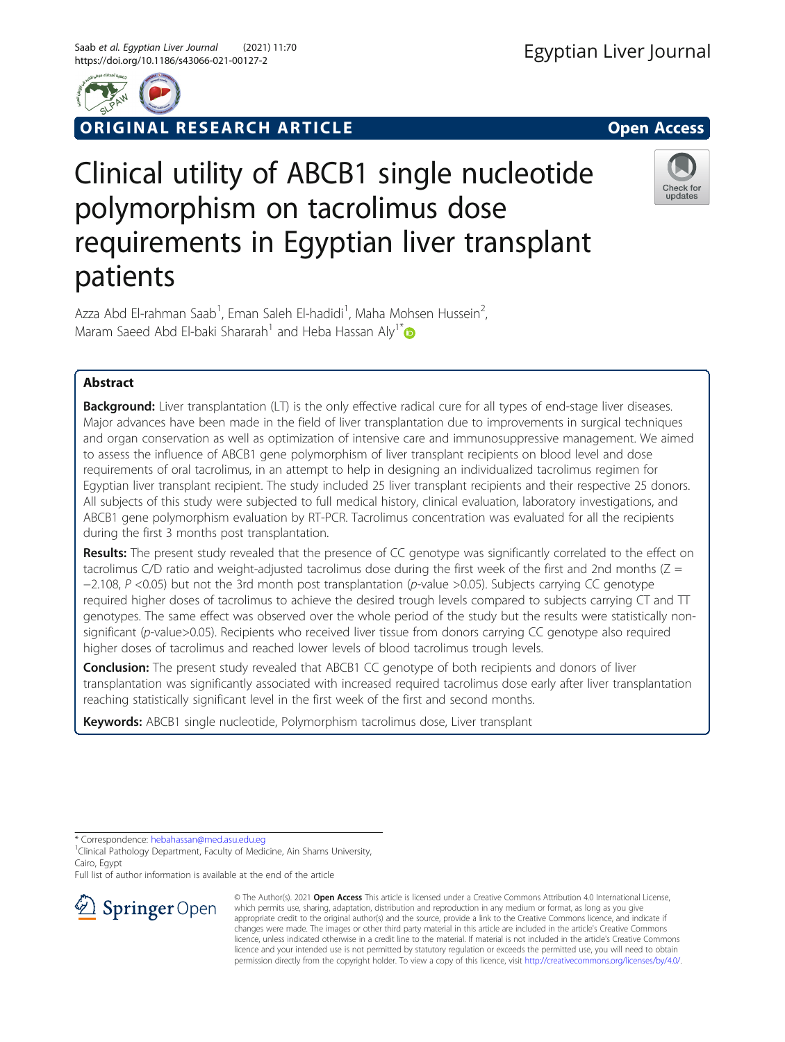

**RIGINAL RESEARCH ARTICLE CONSIDERING OPEN ACCESS** 

# Clinical utility of ABCB1 single nucleotide polymorphism on tacrolimus dose requirements in Egyptian liver transplant patients



Azza Abd El-rahman Saab<sup>1</sup>, Eman Saleh El-hadidi<sup>1</sup>, Maha Mohsen Hussein<sup>2</sup> , Maram Saeed Abd El-baki Shararah<sup>1</sup> and Heba Hassan Aly<sup>1[\\*](http://orcid.org/0000-0002-9023-346X)</sup>

# Abstract

**Background:** Liver transplantation (LT) is the only effective radical cure for all types of end-stage liver diseases. Major advances have been made in the field of liver transplantation due to improvements in surgical techniques and organ conservation as well as optimization of intensive care and immunosuppressive management. We aimed to assess the influence of ABCB1 gene polymorphism of liver transplant recipients on blood level and dose requirements of oral tacrolimus, in an attempt to help in designing an individualized tacrolimus regimen for Egyptian liver transplant recipient. The study included 25 liver transplant recipients and their respective 25 donors. All subjects of this study were subjected to full medical history, clinical evaluation, laboratory investigations, and ABCB1 gene polymorphism evaluation by RT-PCR. Tacrolimus concentration was evaluated for all the recipients during the first 3 months post transplantation.

Results: The present study revealed that the presence of CC genotype was significantly correlated to the effect on tacrolimus C/D ratio and weight-adjusted tacrolimus dose during the first week of the first and 2nd months ( $Z =$ −2.108, P <0.05) but not the 3rd month post transplantation (p-value >0.05). Subjects carrying CC genotype required higher doses of tacrolimus to achieve the desired trough levels compared to subjects carrying CT and TT genotypes. The same effect was observed over the whole period of the study but the results were statistically nonsignificant (p-value>0.05). Recipients who received liver tissue from donors carrying CC genotype also required higher doses of tacrolimus and reached lower levels of blood tacrolimus trough levels.

**Conclusion:** The present study revealed that ABCB1 CC genotype of both recipients and donors of liver transplantation was significantly associated with increased required tacrolimus dose early after liver transplantation reaching statistically significant level in the first week of the first and second months.

Keywords: ABCB1 single nucleotide, Polymorphism tacrolimus dose, Liver transplant

\* Correspondence: [hebahassan@med.asu.edu.eg](mailto:hebahassan@med.asu.edu.eg) <sup>1</sup>

<sup>1</sup> Clinical Pathology Department, Faculty of Medicine, Ain Shams University, Cairo, Egypt

Full list of author information is available at the end of the article



© The Author(s). 2021 Open Access This article is licensed under a Creative Commons Attribution 4.0 International License, which permits use, sharing, adaptation, distribution and reproduction in any medium or format, as long as you give appropriate credit to the original author(s) and the source, provide a link to the Creative Commons licence, and indicate if changes were made. The images or other third party material in this article are included in the article's Creative Commons licence, unless indicated otherwise in a credit line to the material. If material is not included in the article's Creative Commons licence and your intended use is not permitted by statutory regulation or exceeds the permitted use, you will need to obtain permission directly from the copyright holder. To view a copy of this licence, visit <http://creativecommons.org/licenses/by/4.0/>.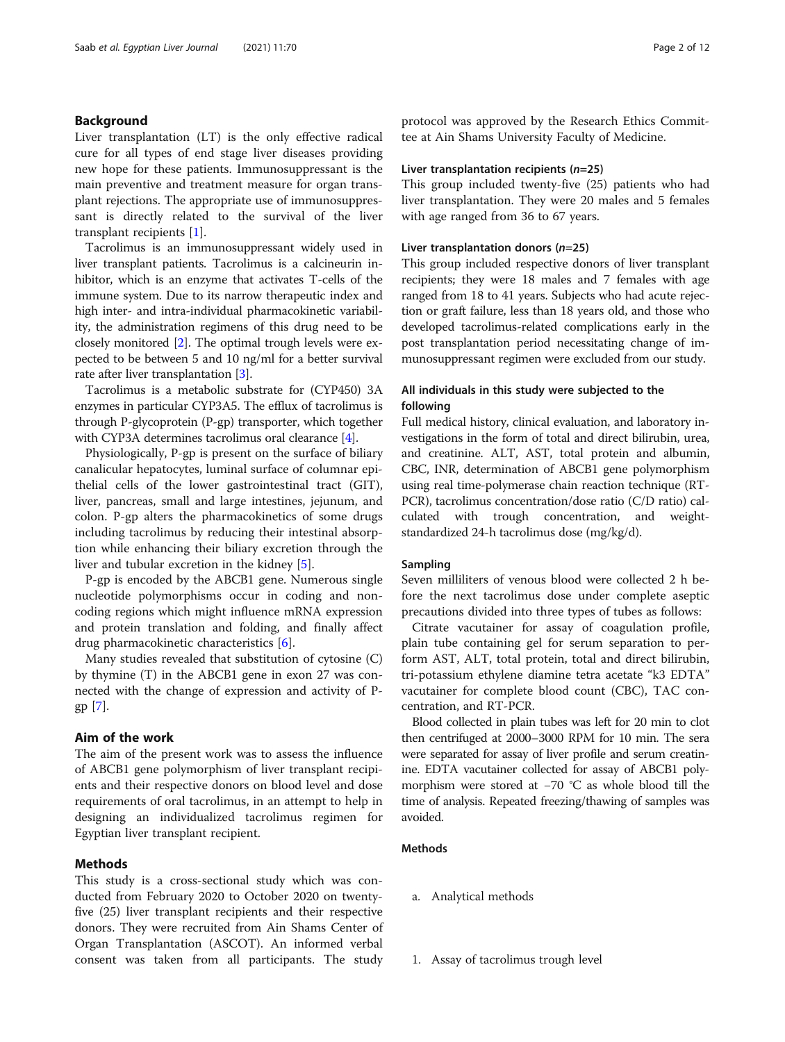# Background

Liver transplantation (LT) is the only effective radical cure for all types of end stage liver diseases providing new hope for these patients. Immunosuppressant is the main preventive and treatment measure for organ transplant rejections. The appropriate use of immunosuppressant is directly related to the survival of the liver transplant recipients [[1](#page-10-0)].

Tacrolimus is an immunosuppressant widely used in liver transplant patients. Tacrolimus is a calcineurin inhibitor, which is an enzyme that activates T-cells of the immune system. Due to its narrow therapeutic index and high inter- and intra-individual pharmacokinetic variability, the administration regimens of this drug need to be closely monitored [[2\]](#page-10-0). The optimal trough levels were expected to be between 5 and 10 ng/ml for a better survival rate after liver transplantation [\[3](#page-10-0)].

Tacrolimus is a metabolic substrate for (CYP450) 3A enzymes in particular CYP3A5. The efflux of tacrolimus is through P-glycoprotein (P-gp) transporter, which together with CYP3A determines tacrolimus oral clearance [\[4\]](#page-10-0).

Physiologically, P-gp is present on the surface of biliary canalicular hepatocytes, luminal surface of columnar epithelial cells of the lower gastrointestinal tract (GIT), liver, pancreas, small and large intestines, jejunum, and colon. P-gp alters the pharmacokinetics of some drugs including tacrolimus by reducing their intestinal absorption while enhancing their biliary excretion through the liver and tubular excretion in the kidney [\[5](#page-10-0)].

P-gp is encoded by the ABCB1 gene. Numerous single nucleotide polymorphisms occur in coding and noncoding regions which might influence mRNA expression and protein translation and folding, and finally affect drug pharmacokinetic characteristics [[6\]](#page-10-0).

Many studies revealed that substitution of cytosine (C) by thymine (T) in the ABCB1 gene in exon 27 was connected with the change of expression and activity of Pgp [[7\]](#page-10-0).

# Aim of the work

The aim of the present work was to assess the influence of ABCB1 gene polymorphism of liver transplant recipients and their respective donors on blood level and dose requirements of oral tacrolimus, in an attempt to help in designing an individualized tacrolimus regimen for Egyptian liver transplant recipient.

## Methods

This study is a cross-sectional study which was conducted from February 2020 to October 2020 on twentyfive (25) liver transplant recipients and their respective donors. They were recruited from Ain Shams Center of Organ Transplantation (ASCOT). An informed verbal consent was taken from all participants. The study protocol was approved by the Research Ethics Committee at Ain Shams University Faculty of Medicine.

#### Liver transplantation recipients  $(n=25)$

This group included twenty-five (25) patients who had liver transplantation. They were 20 males and 5 females with age ranged from 36 to 67 years.

#### Liver transplantation donors (n=25)

This group included respective donors of liver transplant recipients; they were 18 males and 7 females with age ranged from 18 to 41 years. Subjects who had acute rejection or graft failure, less than 18 years old, and those who developed tacrolimus-related complications early in the post transplantation period necessitating change of immunosuppressant regimen were excluded from our study.

# All individuals in this study were subjected to the following

Full medical history, clinical evaluation, and laboratory investigations in the form of total and direct bilirubin, urea, and creatinine. ALT, AST, total protein and albumin, CBC, INR, determination of ABCB1 gene polymorphism using real time-polymerase chain reaction technique (RT-PCR), tacrolimus concentration/dose ratio (C/D ratio) calculated with trough concentration, and weightstandardized 24-h tacrolimus dose (mg/kg/d).

#### Sampling

Seven milliliters of venous blood were collected 2 h before the next tacrolimus dose under complete aseptic precautions divided into three types of tubes as follows:

Citrate vacutainer for assay of coagulation profile, plain tube containing gel for serum separation to perform AST, ALT, total protein, total and direct bilirubin, tri-potassium ethylene diamine tetra acetate "k3 EDTA" vacutainer for complete blood count (CBC), TAC concentration, and RT-PCR.

Blood collected in plain tubes was left for 20 min to clot then centrifuged at 2000–3000 RPM for 10 min. The sera were separated for assay of liver profile and serum creatinine. EDTA vacutainer collected for assay of ABCB1 polymorphism were stored at −70 °C as whole blood till the time of analysis. Repeated freezing/thawing of samples was avoided.

# **Methods**

- a. Analytical methods
- 1. Assay of tacrolimus trough level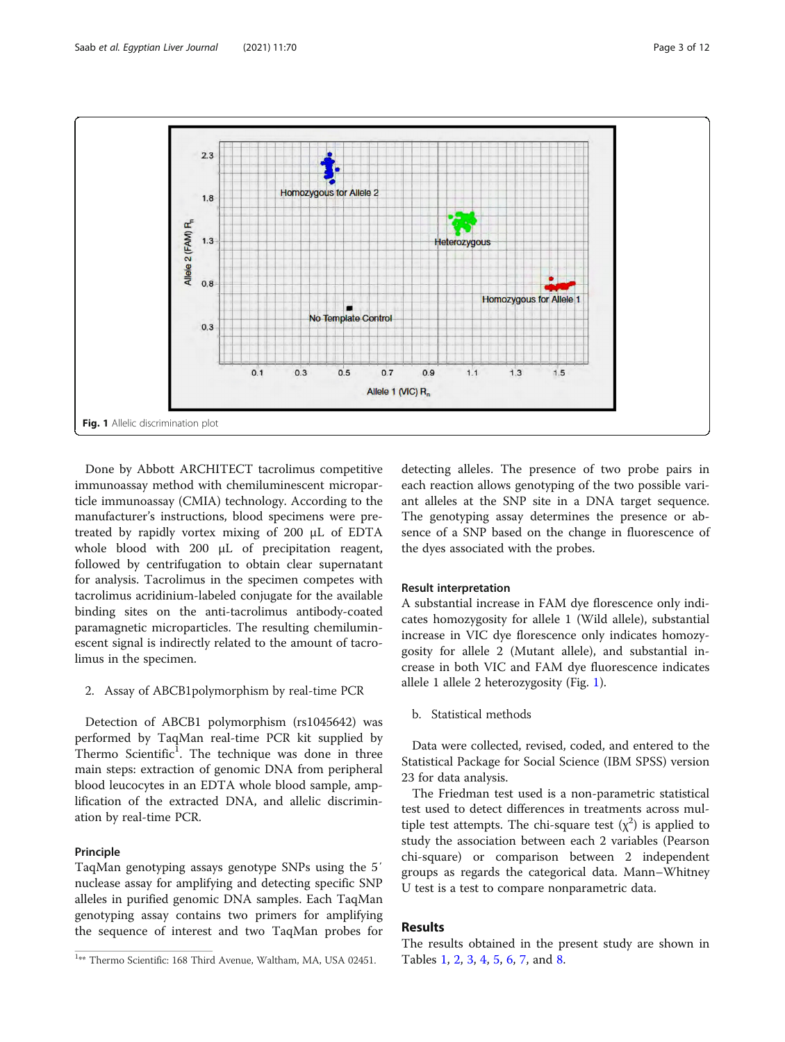

Done by Abbott ARCHITECT tacrolimus competitive immunoassay method with chemiluminescent microparticle immunoassay (CMIA) technology. According to the manufacturer's instructions, blood specimens were pretreated by rapidly vortex mixing of 200 μL of EDTA whole blood with 200 μL of precipitation reagent, followed by centrifugation to obtain clear supernatant for analysis. Tacrolimus in the specimen competes with tacrolimus acridinium-labeled conjugate for the available binding sites on the anti-tacrolimus antibody-coated paramagnetic microparticles. The resulting chemiluminescent signal is indirectly related to the amount of tacrolimus in the specimen.

2. Assay of ABCB1polymorphism by real-time PCR

Detection of ABCB1 polymorphism (rs1045642) was performed by TaqMan real-time PCR kit supplied by Thermo Scientific<sup>1</sup>. The technique was done in three main steps: extraction of genomic DNA from peripheral blood leucocytes in an EDTA whole blood sample, amplification of the extracted DNA, and allelic discrimination by real-time PCR.

## Principle

TaqMan genotyping assays genotype SNPs using the 5′ nuclease assay for amplifying and detecting specific SNP alleles in purified genomic DNA samples. Each TaqMan genotyping assay contains two primers for amplifying the sequence of interest and two TaqMan probes for detecting alleles. The presence of two probe pairs in each reaction allows genotyping of the two possible variant alleles at the SNP site in a DNA target sequence. The genotyping assay determines the presence or absence of a SNP based on the change in fluorescence of the dyes associated with the probes.

# Result interpretation

A substantial increase in FAM dye florescence only indicates homozygosity for allele 1 (Wild allele), substantial increase in VIC dye florescence only indicates homozygosity for allele 2 (Mutant allele), and substantial increase in both VIC and FAM dye fluorescence indicates allele 1 allele 2 heterozygosity (Fig. 1).

b. Statistical methods

Data were collected, revised, coded, and entered to the Statistical Package for Social Science (IBM SPSS) version 23 for data analysis.

The Friedman test used is a non-parametric statistical test used to detect differences in treatments across multiple test attempts. The chi-square test  $(\chi^2)$  is applied to study the association between each 2 variables (Pearson chi-square) or comparison between 2 independent groups as regards the categorical data. Mann–Whitney U test is a test to compare nonparametric data.

# Results

The results obtained in the present study are shown in

 $^{1**}$  $^{1**}$  $^{1**}$  Thermo Scientific: 168 Third Avenue, Waltham, MA, USA 0[2](#page-3-0)451. Tables 1, 2, [3](#page-4-0), [4](#page-4-0), [5](#page-5-0), [6](#page-5-0), [7](#page-6-0), and [8](#page-7-0).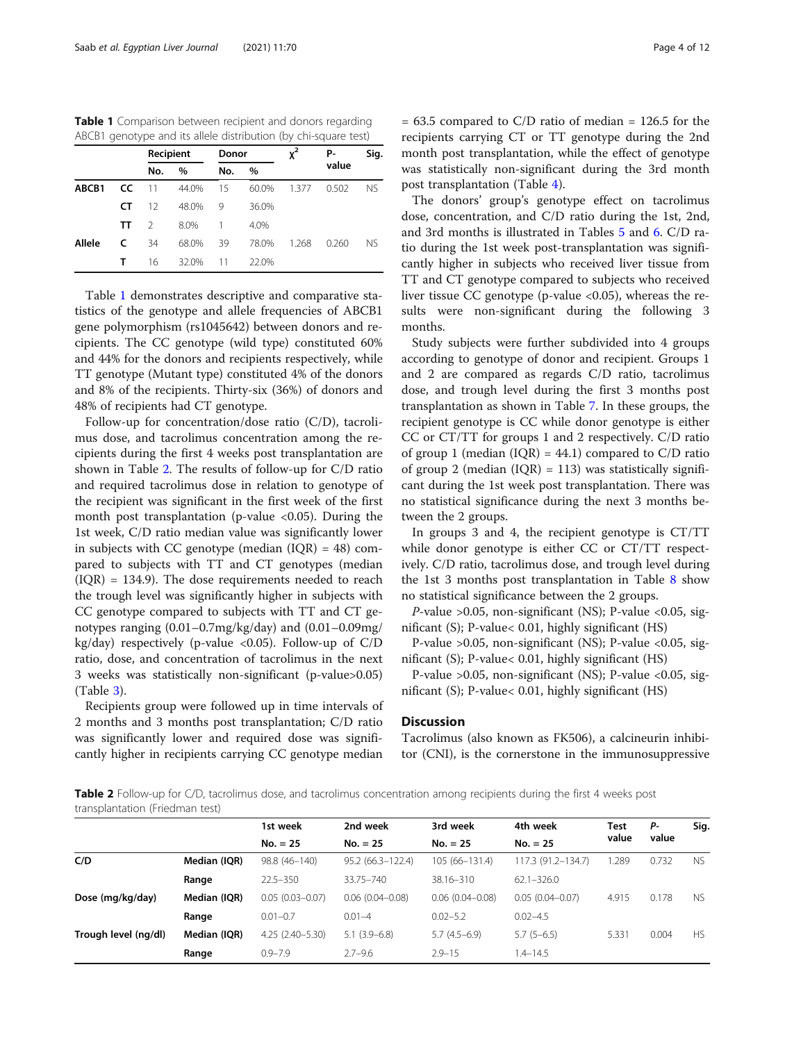<span id="page-3-0"></span>Table 1 Comparison between recipient and donors regarding ABCB1 genotype and its allele distribution (by chi-square test)

|        |    | Recipient     |       | Donor |       |       | Р-    | Sig.      |
|--------|----|---------------|-------|-------|-------|-------|-------|-----------|
|        |    | No.           | $\%$  | No.   | $\%$  |       | value |           |
| ABCB1  | cc | 11            | 44.0% | 15    | 60.0% | 1.377 | 0.502 | NS.       |
|        | CТ | 12            | 48.0% | 9     | 36.0% |       |       |           |
|        | ΤТ | $\mathcal{L}$ | 8.0%  |       | 4.0%  |       |       |           |
| Allele | c  | 34            | 68.0% | 39    | 78.0% | 1.268 | 0.260 | <b>NS</b> |
|        | т  | 16            | 32.0% | 11    | 22.0% |       |       |           |

Table 1 demonstrates descriptive and comparative statistics of the genotype and allele frequencies of ABCB1 gene polymorphism (rs1045642) between donors and recipients. The CC genotype (wild type) constituted 60% and 44% for the donors and recipients respectively, while TT genotype (Mutant type) constituted 4% of the donors and 8% of the recipients. Thirty-six (36%) of donors and 48% of recipients had CT genotype.

Follow-up for concentration/dose ratio (C/D), tacrolimus dose, and tacrolimus concentration among the recipients during the first 4 weeks post transplantation are shown in Table 2. The results of follow-up for C/D ratio and required tacrolimus dose in relation to genotype of the recipient was significant in the first week of the first month post transplantation (p-value  $\langle 0.05 \rangle$ ). During the 1st week, C/D ratio median value was significantly lower in subjects with CC genotype (median  $(IQR) = 48$ ) compared to subjects with TT and CT genotypes (median  $(IQR) = 134.9$ . The dose requirements needed to reach the trough level was significantly higher in subjects with CC genotype compared to subjects with TT and CT genotypes ranging  $(0.01-0.7mg/kg/day)$  and  $(0.01-0.09mg/m$ kg/day) respectively (p-value <0.05). Follow-up of  $C/D$ ratio, dose, and concentration of tacrolimus in the next 3 weeks was statistically non-significant (p-value>0.05) (Table [3\)](#page-4-0).

Recipients group were followed up in time intervals of 2 months and 3 months post transplantation; C/D ratio was significantly lower and required dose was significantly higher in recipients carrying CC genotype median

 $= 63.5$  compared to C/D ratio of median  $= 126.5$  for the recipients carrying CT or TT genotype during the 2nd month post transplantation, while the effect of genotype was statistically non-significant during the 3rd month post transplantation (Table [4\)](#page-4-0).

The donors' group's genotype effect on tacrolimus dose, concentration, and C/D ratio during the 1st, 2nd, and 3rd months is illustrated in Tables [5](#page-5-0) and [6.](#page-5-0) C/D ratio during the 1st week post-transplantation was significantly higher in subjects who received liver tissue from TT and CT genotype compared to subjects who received liver tissue CC genotype (p-value <0.05), whereas the results were non-significant during the following 3 months.

Study subjects were further subdivided into 4 groups according to genotype of donor and recipient. Groups 1 and 2 are compared as regards C/D ratio, tacrolimus dose, and trough level during the first 3 months post transplantation as shown in Table [7.](#page-6-0) In these groups, the recipient genotype is CC while donor genotype is either CC or CT/TT for groups 1 and 2 respectively. C/D ratio of group 1 (median  $(IQR) = 44.1$ ) compared to C/D ratio of group 2 (median  $(IQR) = 113$ ) was statistically significant during the 1st week post transplantation. There was no statistical significance during the next 3 months between the 2 groups.

In groups 3 and 4, the recipient genotype is CT/TT while donor genotype is either CC or CT/TT respectively. C/D ratio, tacrolimus dose, and trough level during the 1st 3 months post transplantation in Table [8](#page-7-0) show no statistical significance between the 2 groups.

*P*-value >0.05, non-significant (NS); P-value <0.05, significant (S); P-value< 0.01, highly significant (HS)

P-value >0.05, non-significant (NS); P-value <0.05, significant (S); P-value< 0.01, highly significant (HS)

P-value >0.05, non-significant (NS); P-value <0.05, significant (S); P-value< 0.01, highly significant (HS)

## **Discussion**

Tacrolimus (also known as FK506), a calcineurin inhibitor (CNI), is the cornerstone in the immunosuppressive

Table 2 Follow-up for C/D, tacrolimus dose, and tacrolimus concentration among recipients during the first 4 weeks post transplantation (Friedman test)

|                      |              | 1st week            | 2nd week            | 3rd week            | 4th week            | <b>Test</b> | Р-    | Sig.      |
|----------------------|--------------|---------------------|---------------------|---------------------|---------------------|-------------|-------|-----------|
|                      |              | $No. = 25$          | $No. = 25$          | $No. = 25$          | $No. = 25$          | value       | value |           |
| C/D                  | Median (IQR) | 98.8 (46-140)       | 95.2 (66.3-122.4)   | 105 (66-131.4)      | 117.3 (91.2-134.7)  | 1.289       | 0.732 | <b>NS</b> |
|                      | Range        | $22.5 - 350$        | 33.75-740           | 38.16-310           | $62.1 - 326.0$      |             |       |           |
| Dose (mg/kg/day)     | Median (IQR) | $0.05(0.03 - 0.07)$ | $0.06(0.04 - 0.08)$ | $0.06(0.04 - 0.08)$ | $0.05(0.04 - 0.07)$ | 4.915       | 0.178 | <b>NS</b> |
|                      | Range        | $0.01 - 0.7$        | $0.01 - 4$          | $0.02 - 5.2$        | $0.02 - 4.5$        |             |       |           |
| Trough level (ng/dl) | Median (IQR) | $4.25(2.40 - 5.30)$ | $5.1(3.9-6.8)$      | $5.7(4.5-6.9)$      | $5.7(5-6.5)$        | 5.331       | 0.004 | <b>HS</b> |
|                      | Range        | $0.9 - 7.9$         | $2.7 - 9.6$         | $2.9 - 15$          | $1.4 - 14.5$        |             |       |           |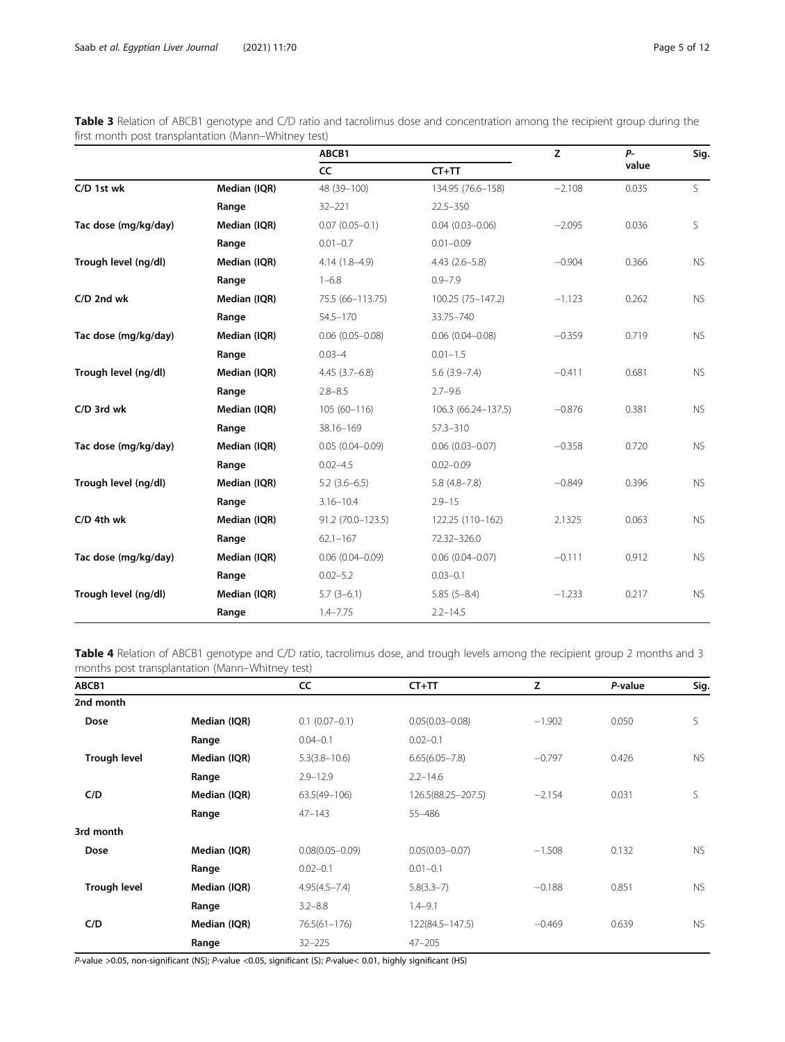|                      |              | ABCB1               |                     | Z        | $P-$  | Sig.      |
|----------------------|--------------|---------------------|---------------------|----------|-------|-----------|
|                      |              | <b>CC</b>           | $CT+TT$             |          | value |           |
| C/D 1st wk           | Median (IQR) | 48 (39-100)         | 134.95 (76.6-158)   | $-2.108$ | 0.035 | S.        |
|                      | Range        | $32 - 221$          | $22.5 - 350$        |          |       |           |
| Tac dose (mg/kg/day) | Median (IQR) | $0.07(0.05 - 0.1)$  | $0.04(0.03 - 0.06)$ | $-2.095$ | 0.036 | S.        |
|                      | Range        | $0.01 - 0.7$        | $0.01 - 0.09$       |          |       |           |
| Trough level (ng/dl) | Median (IQR) | $4.14(1.8-4.9)$     | $4.43(2.6 - 5.8)$   | $-0.904$ | 0.366 | <b>NS</b> |
|                      | Range        | $1 - 6.8$           | $0.9 - 7.9$         |          |       |           |
| C/D 2nd wk           | Median (IQR) | 75.5 (66-113.75)    | 100.25 (75-147.2)   | $-1.123$ | 0.262 | <b>NS</b> |
|                      | Range        | $54.5 - 170$        | 33.75-740           |          |       |           |
| Tac dose (mg/kg/day) | Median (IQR) | $0.06(0.05 - 0.08)$ | $0.06(0.04 - 0.08)$ | $-0.359$ | 0.719 | <b>NS</b> |
|                      | Range        | $0.03 - 4$          | $0.01 - 1.5$        |          |       |           |
| Trough level (ng/dl) | Median (IQR) | $4.45(3.7-6.8)$     | $5.6(3.9 - 7.4)$    | $-0.411$ | 0.681 | <b>NS</b> |
|                      | Range        | $2.8 - 8.5$         | $2.7 - 9.6$         |          |       |           |
| C/D 3rd wk           | Median (IQR) | $105(60-116)$       | 106.3 (66.24-137.5) | $-0.876$ | 0.381 | <b>NS</b> |
|                      | Range        | 38.16-169           | $57.3 - 310$        |          |       |           |
| Tac dose (mg/kg/day) | Median (IQR) | $0.05(0.04 - 0.09)$ | $0.06(0.03 - 0.07)$ | $-0.358$ | 0.720 | <b>NS</b> |
|                      | Range        | $0.02 - 4.5$        | $0.02 - 0.09$       |          |       |           |
| Trough level (ng/dl) | Median (IQR) | $5.2(3.6-6.5)$      | $5.8(4.8 - 7.8)$    | $-0.849$ | 0.396 | <b>NS</b> |
|                      | Range        | $3.16 - 10.4$       | $2.9 - 15$          |          |       |           |
| C/D 4th wk           | Median (IQR) | 91.2 (70.0-123.5)   | 122.25 (110-162)    | 2.1325   | 0.063 | <b>NS</b> |
|                      | Range        | $62.1 - 167$        | 72.32-326.0         |          |       |           |
| Tac dose (mg/kg/day) | Median (IQR) | $0.06(0.04 - 0.09)$ | $0.06(0.04 - 0.07)$ | $-0.111$ | 0.912 | <b>NS</b> |
|                      | Range        | $0.02 - 5.2$        | $0.03 - 0.1$        |          |       |           |
| Trough level (ng/dl) | Median (IQR) | $5.7(3-6.1)$        | $5.85(5 - 8.4)$     | $-1.233$ | 0.217 | <b>NS</b> |
|                      | Range        | $1.4 - 7.75$        | $2.2 - 14.5$        |          |       |           |

<span id="page-4-0"></span>Table 3 Relation of ABCB1 genotype and C/D ratio and tacrolimus dose and concentration among the recipient group during the first month post transplantation (Mann–Whitney test)

Table 4 Relation of ABCB1 genotype and C/D ratio, tacrolimus dose, and trough levels among the recipient group 2 months and 3 months post transplantation (Mann–Whitney test)

| ABCB1               |              | cc                  | $CT+TT$             | z        | P-value | Sig. |
|---------------------|--------------|---------------------|---------------------|----------|---------|------|
| 2nd month           |              |                     |                     |          |         |      |
| Dose                | Median (IQR) | $0.1(0.07-0.1)$     | $0.05(0.03 - 0.08)$ | $-1.902$ | 0.050   | S    |
|                     | Range        | $0.04 - 0.1$        | $0.02 - 0.1$        |          |         |      |
| <b>Trough level</b> | Median (IQR) | $5.3(3.8 - 10.6)$   | $6.65(6.05 - 7.8)$  | $-0.797$ | 0.426   | NS.  |
|                     | Range        | $2.9 - 12.9$        | $2.2 - 14.6$        |          |         |      |
| C/D                 | Median (IQR) | $63.5(49 - 106)$    | 126.5(88.25-207.5)  | $-2.154$ | 0.031   | S.   |
|                     | Range        | $47 - 143$          | 55-486              |          |         |      |
| 3rd month           |              |                     |                     |          |         |      |
| Dose                | Median (IQR) | $0.08(0.05 - 0.09)$ | $0.05(0.03 - 0.07)$ | $-1.508$ | 0.132   | NS.  |
|                     | Range        | $0.02 - 0.1$        | $0.01 - 0.1$        |          |         |      |
| <b>Trough level</b> | Median (IQR) | $4.95(4.5 - 7.4)$   | $5.8(3.3 - 7)$      | $-0.188$ | 0.851   | NS.  |
|                     | Range        | $3.2 - 8.8$         | $1.4 - 9.1$         |          |         |      |
| C/D                 | Median (IQR) | $76.5(61 - 176)$    | 122(84.5-147.5)     | $-0.469$ | 0.639   | NS.  |
|                     | Range        | $32 - 225$          | $47 - 205$          |          |         |      |

P-value >0.05, non-significant (NS); P-value <0.05, significant (S); P-value< 0.01, highly significant (HS)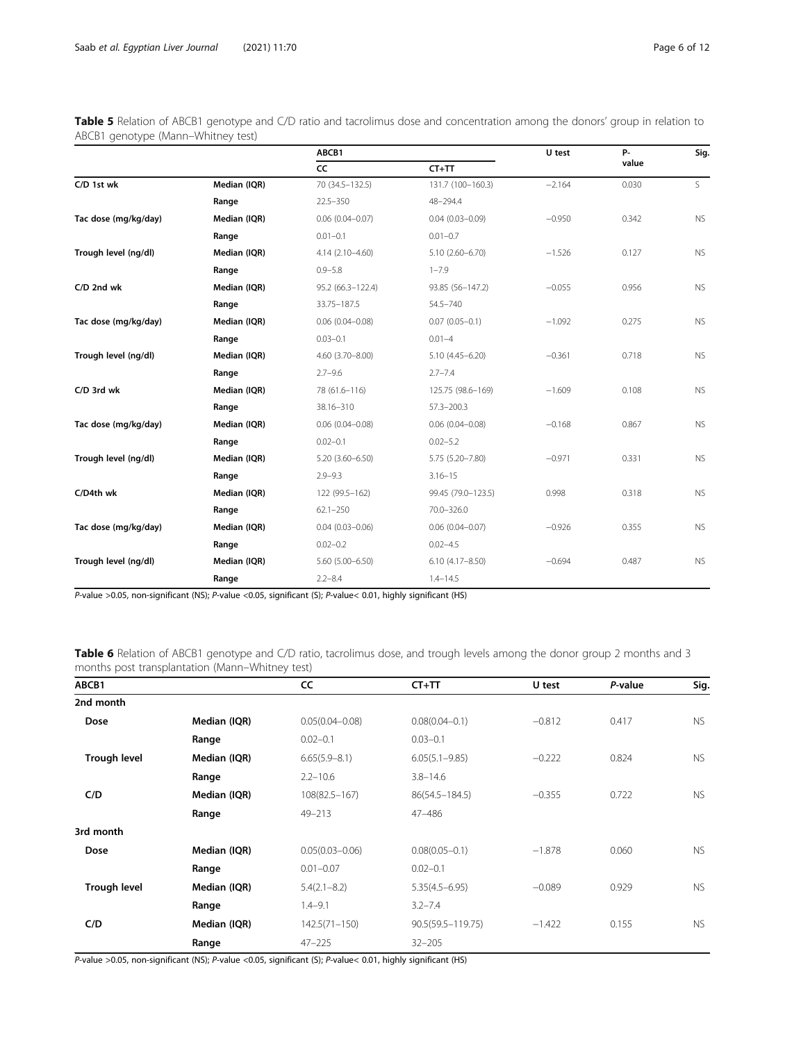<span id="page-5-0"></span>

| Table 5 Relation of ABCB1 genotype and C/D ratio and tacrolimus dose and concentration among the donors' group in relation to |  |  |
|-------------------------------------------------------------------------------------------------------------------------------|--|--|
| ABCB1 genotype (Mann-Whitney test)                                                                                            |  |  |

|                      |              | ABCB1                  |                        | U test   | <b>P-</b> | Sig.         |
|----------------------|--------------|------------------------|------------------------|----------|-----------|--------------|
|                      |              | CC                     | $CT+TT$                |          | value     |              |
| C/D 1st wk           | Median (IQR) | 70 (34.5-132.5)        | 131.7 (100-160.3)      | $-2.164$ | 0.030     | $\mathsf{S}$ |
|                      | Range        | $22.5 - 350$           | 48-294.4               |          |           |              |
| Tac dose (mg/kg/day) | Median (IQR) | $0.06$ $(0.04 - 0.07)$ | $0.04(0.03 - 0.09)$    | $-0.950$ | 0.342     | <b>NS</b>    |
|                      | Range        | $0.01 - 0.1$           | $0.01 - 0.7$           |          |           |              |
| Trough level (ng/dl) | Median (IQR) | 4.14 (2.10-4.60)       | $5.10(2.60 - 6.70)$    | $-1.526$ | 0.127     | <b>NS</b>    |
|                      | Range        | $0.9 - 5.8$            | $1 - 7.9$              |          |           |              |
| C/D 2nd wk           | Median (IQR) | 95.2 (66.3-122.4)      | 93.85 (56-147.2)       | $-0.055$ | 0.956     | <b>NS</b>    |
|                      | Range        | 33.75-187.5            | $54.5 - 740$           |          |           |              |
| Tac dose (mg/kg/day) | Median (IQR) | $0.06$ $(0.04 - 0.08)$ | $0.07(0.05 - 0.1)$     | $-1.092$ | 0.275     | <b>NS</b>    |
|                      | Range        | $0.03 - 0.1$           | $0.01 - 4$             |          |           |              |
| Trough level (ng/dl) | Median (IQR) | 4.60 (3.70-8.00)       | $5.10(4.45 - 6.20)$    | $-0.361$ | 0.718     | <b>NS</b>    |
|                      | Range        | $2.7 - 9.6$            | $2.7 - 7.4$            |          |           |              |
| C/D 3rd wk           | Median (IQR) | 78 (61.6-116)          | 125.75 (98.6-169)      | $-1.609$ | 0.108     | <b>NS</b>    |
|                      | Range        | 38.16-310              | $57.3 - 200.3$         |          |           |              |
| Tac dose (mg/kg/day) | Median (IQR) | $0.06(0.04 - 0.08)$    | $0.06$ (0.04-0.08)     | $-0.168$ | 0.867     | <b>NS</b>    |
|                      | Range        | $0.02 - 0.1$           | $0.02 - 5.2$           |          |           |              |
| Trough level (ng/dl) | Median (IQR) | $5.20(3.60 - 6.50)$    | 5.75 (5.20-7.80)       | $-0.971$ | 0.331     | <b>NS</b>    |
|                      | Range        | $2.9 - 9.3$            | $3.16 - 15$            |          |           |              |
| C/D4th wk            | Median (IQR) | 122 (99.5-162)         | 99.45 (79.0-123.5)     | 0.998    | 0.318     | <b>NS</b>    |
|                      | Range        | $62.1 - 250$           | 70.0-326.0             |          |           |              |
| Tac dose (mg/kg/day) | Median (IQR) | $0.04(0.03 - 0.06)$    | $0.06$ $(0.04 - 0.07)$ | $-0.926$ | 0.355     | <b>NS</b>    |
|                      | Range        | $0.02 - 0.2$           | $0.02 - 4.5$           |          |           |              |
| Trough level (ng/dl) | Median (IQR) | 5.60 (5.00-6.50)       | $6.10(4.17 - 8.50)$    | $-0.694$ | 0.487     | <b>NS</b>    |
|                      | Range        | $2.2 - 8.4$            | $1.4 - 14.5$           |          |           |              |

P-value >0.05, non-significant (NS); P-value <0.05, significant (S); P-value< 0.01, highly significant (HS)

Table 6 Relation of ABCB1 genotype and C/D ratio, tacrolimus dose, and trough levels among the donor group 2 months and 3 months post transplantation (Mann–Whitney test)

| ABCB1               |              | <b>CC</b>           | $CT+TT$            | U test   | P-value | Sig.      |
|---------------------|--------------|---------------------|--------------------|----------|---------|-----------|
| 2nd month           |              |                     |                    |          |         |           |
| Dose                | Median (IQR) | $0.05(0.04 - 0.08)$ | $0.08(0.04 - 0.1)$ | $-0.812$ | 0.417   | <b>NS</b> |
|                     | Range        | $0.02 - 0.1$        | $0.03 - 0.1$       |          |         |           |
| <b>Trough level</b> | Median (IQR) | $6.65(5.9 - 8.1)$   | $6.05(5.1 - 9.85)$ | $-0.222$ | 0.824   | NS.       |
|                     | Range        | $2.2 - 10.6$        | $3.8 - 14.6$       |          |         |           |
| C/D                 | Median (IQR) | $108(82.5 - 167)$   | 86(54.5-184.5)     | $-0.355$ | 0.722   | NS.       |
|                     | Range        | $49 - 213$          | 47-486             |          |         |           |
| 3rd month           |              |                     |                    |          |         |           |
| Dose                | Median (IQR) | $0.05(0.03 - 0.06)$ | $0.08(0.05 - 0.1)$ | $-1.878$ | 0.060   | <b>NS</b> |
|                     | Range        | $0.01 - 0.07$       | $0.02 - 0.1$       |          |         |           |
| <b>Trough level</b> | Median (IQR) | $5.4(2.1 - 8.2)$    | $5.35(4.5 - 6.95)$ | $-0.089$ | 0.929   | <b>NS</b> |
|                     | Range        | $1.4 - 9.1$         | $3.2 - 7.4$        |          |         |           |
| C/D                 | Median (IQR) | $142.5(71 - 150)$   | 90.5(59.5-119.75)  | $-1.422$ | 0.155   | NS.       |
|                     | Range        | $47 - 225$          | $32 - 205$         |          |         |           |

P-value >0.05, non-significant (NS); P-value <0.05, significant (S); P-value< 0.01, highly significant (HS)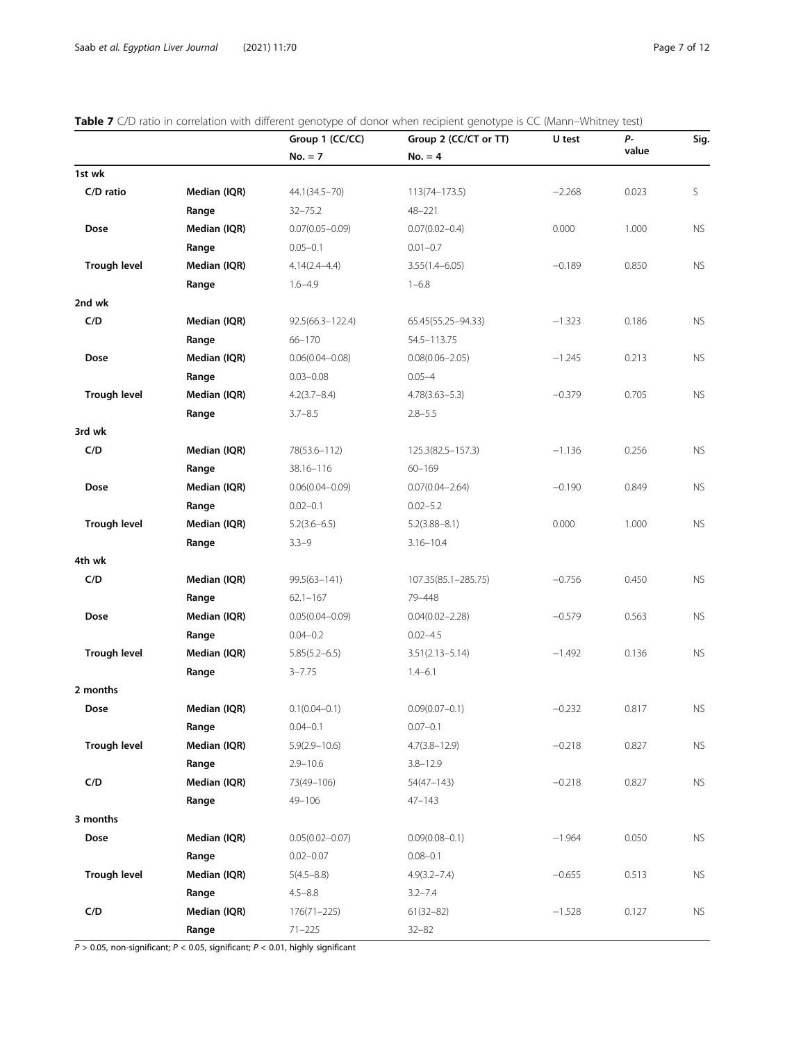# <span id="page-6-0"></span>Table 7 C/D ratio in correlation with different genotype of donor when recipient genotype is CC (Mann–Whitney test)

|                     |              | Group 1 (CC/CC)      | Group 2 (CC/CT or TT) | U test   | Р-    | Sig.      |
|---------------------|--------------|----------------------|-----------------------|----------|-------|-----------|
|                     |              | $No. = 7$            | $No. = 4$             |          | value |           |
| 1st wk              |              |                      |                       |          |       |           |
| C/D ratio           | Median (IQR) | 44.1(34.5-70)        | 113(74-173.5)         | $-2.268$ | 0.023 | S         |
|                     | Range        | $32 - 75.2$          | 48-221                |          |       |           |
| Dose                | Median (IQR) | $0.07(0.05 - 0.09)$  | $0.07(0.02 - 0.4)$    | 0.000    | 1.000 | <b>NS</b> |
|                     | Range        | $0.05 - 0.1$         | $0.01 - 0.7$          |          |       |           |
| <b>Trough level</b> | Median (IQR) | $4.14(2.4 - 4.4)$    | $3.55(1.4 - 6.05)$    | $-0.189$ | 0.850 | <b>NS</b> |
|                     | Range        | $1.6 - 4.9$          | $1 - 6.8$             |          |       |           |
| 2nd wk              |              |                      |                       |          |       |           |
| C/D                 | Median (IQR) | $92.5(66.3 - 122.4)$ | 65.45(55.25-94.33)    | $-1.323$ | 0.186 | <b>NS</b> |
|                     | Range        | $66 - 170$           | 54.5-113.75           |          |       |           |
| Dose                | Median (IQR) | $0.06(0.04 - 0.08)$  | $0.08(0.06 - 2.05)$   | $-1.245$ | 0.213 | <b>NS</b> |
|                     | Range        | $0.03 - 0.08$        | $0.05 - 4$            |          |       |           |
| <b>Trough level</b> | Median (IQR) | $4.2(3.7 - 8.4)$     | $4.78(3.63 - 5.3)$    | $-0.379$ | 0.705 | <b>NS</b> |
|                     | Range        | $3.7 - 8.5$          | $2.8 - 5.5$           |          |       |           |
| 3rd wk              |              |                      |                       |          |       |           |
| C/D                 | Median (IQR) | 78(53.6-112)         | 125.3(82.5-157.3)     | $-1.136$ | 0.256 | <b>NS</b> |
|                     | Range        | 38.16-116            | $60 - 169$            |          |       |           |
| Dose                | Median (IQR) | $0.06(0.04 - 0.09)$  | $0.07(0.04 - 2.64)$   | $-0.190$ | 0.849 | <b>NS</b> |
|                     | Range        | $0.02 - 0.1$         | $0.02 - 5.2$          |          |       |           |
| <b>Trough level</b> | Median (IQR) | $5.2(3.6 - 6.5)$     | $5.2(3.88 - 8.1)$     | 0.000    | 1.000 | <b>NS</b> |
|                     | Range        | $3.3 - 9$            | $3.16 - 10.4$         |          |       |           |
| 4th wk              |              |                      |                       |          |       |           |
| C/D                 | Median (IQR) | $99.5(63 - 141)$     | 107.35(85.1-285.75)   | $-0.756$ | 0.450 | <b>NS</b> |
|                     | Range        | $62.1 - 167$         | 79-448                |          |       |           |
| Dose                | Median (IQR) | $0.05(0.04 - 0.09)$  | $0.04(0.02 - 2.28)$   | $-0.579$ | 0.563 | <b>NS</b> |
|                     | Range        | $0.04 - 0.2$         | $0.02 - 4.5$          |          |       |           |
| <b>Trough level</b> | Median (IQR) | $5.85(5.2 - 6.5)$    | $3.51(2.13 - 5.14)$   | $-1.492$ | 0.136 | <b>NS</b> |
|                     | Range        | $3 - 7.75$           | $1.4 - 6.1$           |          |       |           |
| 2 months            |              |                      |                       |          |       |           |
| Dose                | Median (IQR) | $0.1(0.04 - 0.1)$    | $0.09(0.07 - 0.1)$    | $-0.232$ | 0.817 | <b>NS</b> |
|                     | Range        | $0.04 - 0.1$         | $0.07 - 0.1$          |          |       |           |
| <b>Trough level</b> | Median (IQR) | $5.9(2.9 - 10.6)$    | $4.7(3.8 - 12.9)$     | $-0.218$ | 0.827 | <b>NS</b> |
|                     | Range        | $2.9 - 10.6$         | $3.8 - 12.9$          |          |       |           |
| C/D                 | Median (IQR) | 73(49-106)           | $54(47 - 143)$        | $-0.218$ | 0.827 | NS.       |
|                     | Range        | 49-106               | 47–143                |          |       |           |
| 3 months            |              |                      |                       |          |       |           |
| Dose                | Median (IQR) | $0.05(0.02 - 0.07)$  | $0.09(0.08 - 0.1)$    | $-1.964$ | 0.050 | <b>NS</b> |
|                     | Range        | $0.02 - 0.07$        | $0.08 - 0.1$          |          |       |           |
| <b>Trough level</b> | Median (IQR) | $5(4.5 - 8.8)$       | $4.9(3.2 - 7.4)$      | $-0.655$ | 0.513 | <b>NS</b> |
|                     | Range        | $4.5 - 8.8$          | $3.2 - 7.4$           |          |       |           |
| C/D                 | Median (IQR) | $176(71 - 225)$      | $61(32 - 82)$         | $-1.528$ | 0.127 | <b>NS</b> |
|                     | Range        | $71 - 225$           | $32 - 82$             |          |       |           |

 $P > 0.05$ , non-significant;  $P < 0.05$ , significant;  $P < 0.01$ , highly significant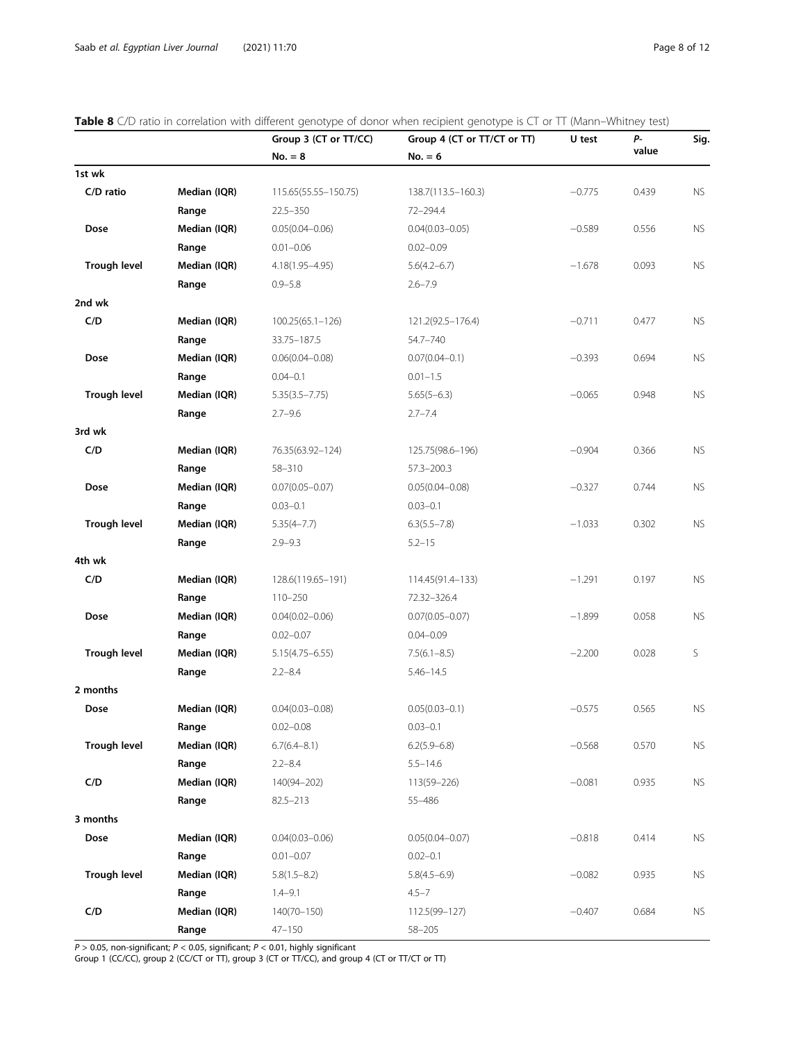# <span id="page-7-0"></span>Table 8 C/D ratio in correlation with different genotype of donor when recipient genotype is CT or TT (Mann–Whitney test)

|                     |              | Group 3 (CT or TT/CC) | Group 4 (CT or TT/CT or TT) | U test   | P-    | Sig.      |
|---------------------|--------------|-----------------------|-----------------------------|----------|-------|-----------|
|                     |              | $No. = 8$             | $No. = 6$                   |          | value |           |
| 1st wk              |              |                       |                             |          |       |           |
| C/D ratio           | Median (IQR) | 115.65(55.55–150.75)  | 138.7(113.5–160.3)          | $-0.775$ | 0.439 | <b>NS</b> |
|                     | Range        | $22.5 - 350$          | 72-294.4                    |          |       |           |
| Dose                | Median (IQR) | $0.05(0.04 - 0.06)$   | $0.04(0.03 - 0.05)$         | $-0.589$ | 0.556 | NS.       |
|                     | Range        | $0.01 - 0.06$         | $0.02 - 0.09$               |          |       |           |
| <b>Trough level</b> | Median (IQR) | 4.18(1.95-4.95)       | $5.6(4.2 - 6.7)$            | $-1.678$ | 0.093 | NS.       |
|                     | Range        | $0.9 - 5.8$           | $2.6 - 7.9$                 |          |       |           |
| 2nd wk              |              |                       |                             |          |       |           |
| C/D                 | Median (IQR) | $100.25(65.1 - 126)$  | 121.2(92.5-176.4)           | $-0.711$ | 0.477 | NS.       |
|                     | Range        | 33.75-187.5           | 54.7-740                    |          |       |           |
| Dose                | Median (IQR) | $0.06(0.04 - 0.08)$   | $0.07(0.04 - 0.1)$          | $-0.393$ | 0.694 | NS.       |
|                     | Range        | $0.04 - 0.1$          | $0.01 - 1.5$                |          |       |           |
| <b>Trough level</b> | Median (IQR) | $5.35(3.5 - 7.75)$    | $5.65(5-6.3)$               | $-0.065$ | 0.948 | NS.       |
|                     | Range        | $2.7 - 9.6$           | $2.7 - 7.4$                 |          |       |           |
| 3rd wk              |              |                       |                             |          |       |           |
| C/D                 | Median (IQR) | 76.35(63.92-124)      | 125.75(98.6-196)            | $-0.904$ | 0.366 | <b>NS</b> |
|                     | Range        | 58-310                | $57.3 - 200.3$              |          |       |           |
| Dose                | Median (IQR) | $0.07(0.05 - 0.07)$   | $0.05(0.04 - 0.08)$         | $-0.327$ | 0.744 | NS.       |
|                     | Range        | $0.03 - 0.1$          | $0.03 - 0.1$                |          |       |           |
| <b>Trough level</b> | Median (IQR) | $5.35(4 - 7.7)$       | $6.3(5.5 - 7.8)$            | $-1.033$ | 0.302 | NS.       |
|                     | Range        | $2.9 - 9.3$           | $5.2 - 15$                  |          |       |           |
| 4th wk              |              |                       |                             |          |       |           |
| C/D                 | Median (IQR) | 128.6(119.65-191)     | 114.45(91.4-133)            | $-1.291$ | 0.197 | <b>NS</b> |
|                     | Range        | $110 - 250$           | 72.32-326.4                 |          |       |           |
| <b>Dose</b>         | Median (IQR) | $0.04(0.02 - 0.06)$   | $0.07(0.05 - 0.07)$         | $-1.899$ | 0.058 | NS.       |
|                     | Range        | $0.02 - 0.07$         | $0.04 - 0.09$               |          |       |           |
| <b>Trough level</b> | Median (IQR) | $5.15(4.75 - 6.55)$   | $7.5(6.1 - 8.5)$            | $-2.200$ | 0.028 | S         |
|                     | Range        | $2.2 - 8.4$           | $5.46 - 14.5$               |          |       |           |
| 2 months            |              |                       |                             |          |       |           |
| Dose                | Median (IQR) | $0.04(0.03 - 0.08)$   | $0.05(0.03 - 0.1)$          | $-0.575$ | 0.565 | <b>NS</b> |
|                     | Range        | $0.02 - 0.08$         | $0.03 - 0.1$                |          |       |           |
| <b>Trough level</b> | Median (IQR) | $6.7(6.4 - 8.1)$      | $6.2(5.9 - 6.8)$            | $-0.568$ | 0.570 | <b>NS</b> |
|                     | Range        | $2.2 - 8.4$           | $5.5 - 14.6$                |          |       |           |
| C/D                 | Median (IQR) | 140(94-202)           | 113(59-226)                 | $-0.081$ | 0.935 | NS.       |
|                     | Range        | $82.5 - 213$          | 55-486                      |          |       |           |
| 3 months            |              |                       |                             |          |       |           |
| Dose                | Median (IQR) | $0.04(0.03 - 0.06)$   | $0.05(0.04 - 0.07)$         | $-0.818$ | 0.414 | <b>NS</b> |
|                     | Range        | $0.01 - 0.07$         | $0.02 - 0.1$                |          |       |           |
| <b>Trough level</b> | Median (IQR) | $5.8(1.5 - 8.2)$      | $5.8(4.5-6.9)$              | $-0.082$ | 0.935 | <b>NS</b> |
|                     | Range        | $1.4 - 9.1$           | $4.5 - 7$                   |          |       |           |
| C/D                 | Median (IQR) | $140(70 - 150)$       | 112.5(99-127)               | $-0.407$ | 0.684 | NS.       |
|                     | Range        | $47 - 150$            | $58 - 205$                  |          |       |           |

P > 0.05, non-significant; P < 0.05, significant; P < 0.01, highly significant Group 1 (CC/CC), group 2 (CC/CT or TT), group 3 (CT or TT/CC), and group 4 (CT or TT/CT or TT)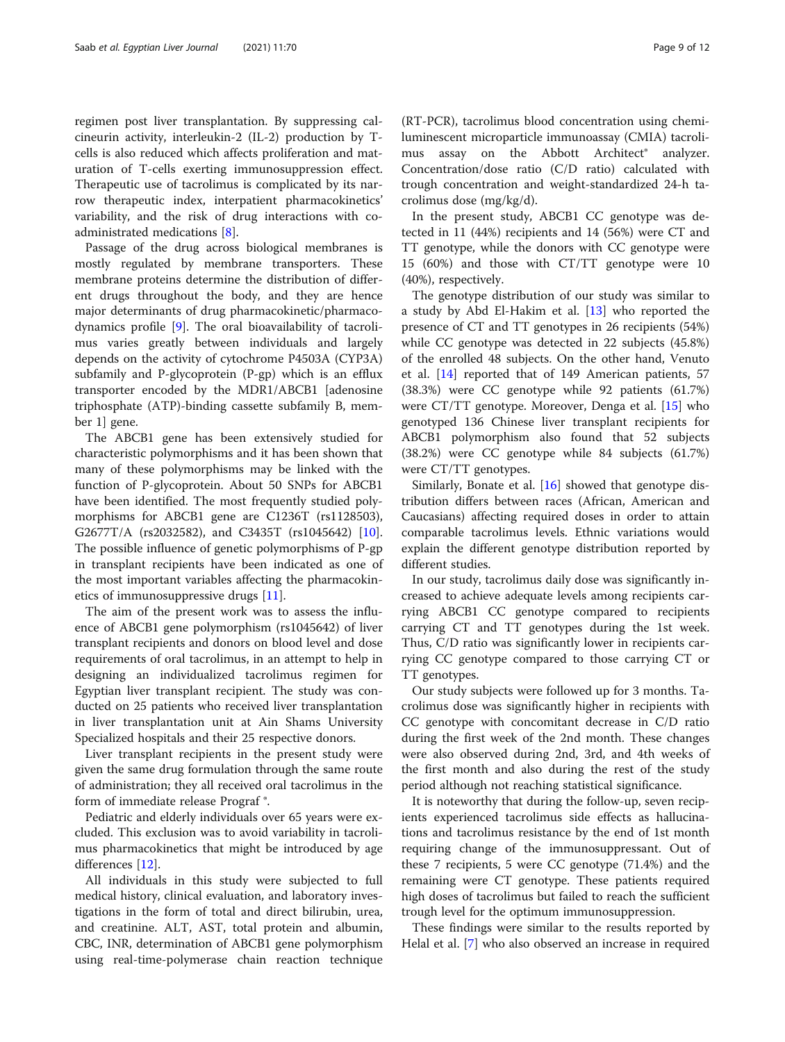regimen post liver transplantation. By suppressing calcineurin activity, interleukin-2 (IL-2) production by Tcells is also reduced which affects proliferation and maturation of T-cells exerting immunosuppression effect. Therapeutic use of tacrolimus is complicated by its narrow therapeutic index, interpatient pharmacokinetics' variability, and the risk of drug interactions with coadministrated medications [\[8\]](#page-10-0).

Passage of the drug across biological membranes is mostly regulated by membrane transporters. These membrane proteins determine the distribution of different drugs throughout the body, and they are hence major determinants of drug pharmacokinetic/pharmacodynamics profile [\[9](#page-10-0)]. The oral bioavailability of tacrolimus varies greatly between individuals and largely depends on the activity of cytochrome P4503A (CYP3A) subfamily and P-glycoprotein (P-gp) which is an efflux transporter encoded by the MDR1/ABCB1 [adenosine triphosphate (ATP)-binding cassette subfamily B, member 1] gene.

The ABCB1 gene has been extensively studied for characteristic polymorphisms and it has been shown that many of these polymorphisms may be linked with the function of P-glycoprotein. About 50 SNPs for ABCB1 have been identified. The most frequently studied polymorphisms for ABCB1 gene are C1236T (rs1128503), G2677T/A (rs2032582), and C3435T (rs1045642) [\[10](#page-10-0)]. The possible influence of genetic polymorphisms of P-gp in transplant recipients have been indicated as one of the most important variables affecting the pharmacokinetics of immunosuppressive drugs [[11\]](#page-10-0).

The aim of the present work was to assess the influence of ABCB1 gene polymorphism (rs1045642) of liver transplant recipients and donors on blood level and dose requirements of oral tacrolimus, in an attempt to help in designing an individualized tacrolimus regimen for Egyptian liver transplant recipient. The study was conducted on 25 patients who received liver transplantation in liver transplantation unit at Ain Shams University Specialized hospitals and their 25 respective donors.

Liver transplant recipients in the present study were given the same drug formulation through the same route of administration; they all received oral tacrolimus in the form of immediate release Prograf ®.

Pediatric and elderly individuals over 65 years were excluded. This exclusion was to avoid variability in tacrolimus pharmacokinetics that might be introduced by age differences [[12\]](#page-10-0).

All individuals in this study were subjected to full medical history, clinical evaluation, and laboratory investigations in the form of total and direct bilirubin, urea, and creatinine. ALT, AST, total protein and albumin, CBC, INR, determination of ABCB1 gene polymorphism using real-time-polymerase chain reaction technique

(RT-PCR), tacrolimus blood concentration using chemiluminescent microparticle immunoassay (CMIA) tacrolimus assay on the Abbott Architect<sup>®</sup> analyzer. Concentration/dose ratio (C/D ratio) calculated with trough concentration and weight-standardized 24-h tacrolimus dose (mg/kg/d).

In the present study, ABCB1 CC genotype was detected in 11 (44%) recipients and 14 (56%) were CT and TT genotype, while the donors with CC genotype were 15 (60%) and those with CT/TT genotype were 10 (40%), respectively.

The genotype distribution of our study was similar to a study by Abd El-Hakim et al. [\[13](#page-10-0)] who reported the presence of CT and TT genotypes in 26 recipients (54%) while CC genotype was detected in 22 subjects (45.8%) of the enrolled 48 subjects. On the other hand, Venuto et al. [\[14](#page-10-0)] reported that of 149 American patients, 57 (38.3%) were CC genotype while 92 patients (61.7%) were CT/TT genotype. Moreover, Denga et al. [[15\]](#page-10-0) who genotyped 136 Chinese liver transplant recipients for ABCB1 polymorphism also found that 52 subjects (38.2%) were CC genotype while 84 subjects (61.7%) were CT/TT genotypes.

Similarly, Bonate et al. [[16\]](#page-10-0) showed that genotype distribution differs between races (African, American and Caucasians) affecting required doses in order to attain comparable tacrolimus levels. Ethnic variations would explain the different genotype distribution reported by different studies.

In our study, tacrolimus daily dose was significantly increased to achieve adequate levels among recipients carrying ABCB1 CC genotype compared to recipients carrying CT and TT genotypes during the 1st week. Thus, C/D ratio was significantly lower in recipients carrying CC genotype compared to those carrying CT or TT genotypes.

Our study subjects were followed up for 3 months. Tacrolimus dose was significantly higher in recipients with CC genotype with concomitant decrease in C/D ratio during the first week of the 2nd month. These changes were also observed during 2nd, 3rd, and 4th weeks of the first month and also during the rest of the study period although not reaching statistical significance.

It is noteworthy that during the follow-up, seven recipients experienced tacrolimus side effects as hallucinations and tacrolimus resistance by the end of 1st month requiring change of the immunosuppressant. Out of these 7 recipients, 5 were CC genotype (71.4%) and the remaining were CT genotype. These patients required high doses of tacrolimus but failed to reach the sufficient trough level for the optimum immunosuppression.

These findings were similar to the results reported by Helal et al. [[7\]](#page-10-0) who also observed an increase in required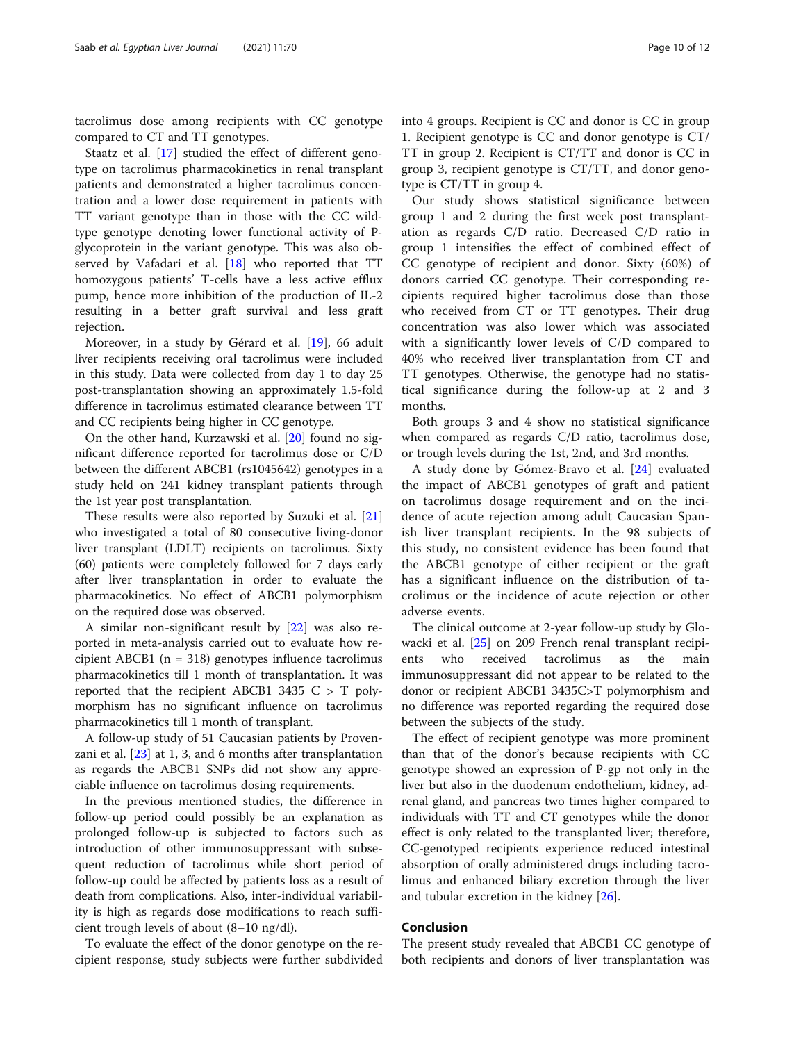tacrolimus dose among recipients with CC genotype compared to CT and TT genotypes.

Staatz et al. [[17\]](#page-10-0) studied the effect of different genotype on tacrolimus pharmacokinetics in renal transplant patients and demonstrated a higher tacrolimus concentration and a lower dose requirement in patients with TT variant genotype than in those with the CC wildtype genotype denoting lower functional activity of Pglycoprotein in the variant genotype. This was also observed by Vafadari et al. [\[18\]](#page-10-0) who reported that TT homozygous patients' T-cells have a less active efflux pump, hence more inhibition of the production of IL-2 resulting in a better graft survival and less graft rejection.

Moreover, in a study by Gérard et al. [[19\]](#page-10-0), 66 adult liver recipients receiving oral tacrolimus were included in this study. Data were collected from day 1 to day 25 post-transplantation showing an approximately 1.5-fold difference in tacrolimus estimated clearance between TT and CC recipients being higher in CC genotype.

On the other hand, Kurzawski et al. [\[20\]](#page-10-0) found no significant difference reported for tacrolimus dose or C/D between the different ABCB1 (rs1045642) genotypes in a study held on 241 kidney transplant patients through the 1st year post transplantation.

These results were also reported by Suzuki et al. [[21](#page-10-0)] who investigated a total of 80 consecutive living-donor liver transplant (LDLT) recipients on tacrolimus. Sixty (60) patients were completely followed for 7 days early after liver transplantation in order to evaluate the pharmacokinetics. No effect of ABCB1 polymorphism on the required dose was observed.

A similar non-significant result by [\[22](#page-10-0)] was also reported in meta-analysis carried out to evaluate how recipient ABCB1 ( $n = 318$ ) genotypes influence tacrolimus pharmacokinetics till 1 month of transplantation. It was reported that the recipient ABCB1 3435  $C > T$  polymorphism has no significant influence on tacrolimus pharmacokinetics till 1 month of transplant.

A follow-up study of 51 Caucasian patients by Provenzani et al. [[23\]](#page-10-0) at 1, 3, and 6 months after transplantation as regards the ABCB1 SNPs did not show any appreciable influence on tacrolimus dosing requirements.

In the previous mentioned studies, the difference in follow-up period could possibly be an explanation as prolonged follow-up is subjected to factors such as introduction of other immunosuppressant with subsequent reduction of tacrolimus while short period of follow-up could be affected by patients loss as a result of death from complications. Also, inter-individual variability is high as regards dose modifications to reach sufficient trough levels of about (8–10 ng/dl).

To evaluate the effect of the donor genotype on the recipient response, study subjects were further subdivided into 4 groups. Recipient is CC and donor is CC in group 1. Recipient genotype is CC and donor genotype is CT/ TT in group 2. Recipient is CT/TT and donor is CC in group 3, recipient genotype is CT/TT, and donor genotype is CT/TT in group 4.

Our study shows statistical significance between group 1 and 2 during the first week post transplantation as regards C/D ratio. Decreased C/D ratio in group 1 intensifies the effect of combined effect of CC genotype of recipient and donor. Sixty (60%) of donors carried CC genotype. Their corresponding recipients required higher tacrolimus dose than those who received from CT or TT genotypes. Their drug concentration was also lower which was associated with a significantly lower levels of C/D compared to 40% who received liver transplantation from CT and TT genotypes. Otherwise, the genotype had no statistical significance during the follow-up at 2 and 3 months.

Both groups 3 and 4 show no statistical significance when compared as regards C/D ratio, tacrolimus dose, or trough levels during the 1st, 2nd, and 3rd months.

A study done by Gómez-Bravo et al. [[24\]](#page-10-0) evaluated the impact of ABCB1 genotypes of graft and patient on tacrolimus dosage requirement and on the incidence of acute rejection among adult Caucasian Spanish liver transplant recipients. In the 98 subjects of this study, no consistent evidence has been found that the ABCB1 genotype of either recipient or the graft has a significant influence on the distribution of tacrolimus or the incidence of acute rejection or other adverse events.

The clinical outcome at 2-year follow-up study by Glo-wacki et al. [[25\]](#page-11-0) on 209 French renal transplant recipients who received tacrolimus as the main immunosuppressant did not appear to be related to the donor or recipient ABCB1 3435C>T polymorphism and no difference was reported regarding the required dose between the subjects of the study.

The effect of recipient genotype was more prominent than that of the donor's because recipients with CC genotype showed an expression of P-gp not only in the liver but also in the duodenum endothelium, kidney, adrenal gland, and pancreas two times higher compared to individuals with TT and CT genotypes while the donor effect is only related to the transplanted liver; therefore, CC-genotyped recipients experience reduced intestinal absorption of orally administered drugs including tacrolimus and enhanced biliary excretion through the liver and tubular excretion in the kidney [[26\]](#page-11-0).

# Conclusion

The present study revealed that ABCB1 CC genotype of both recipients and donors of liver transplantation was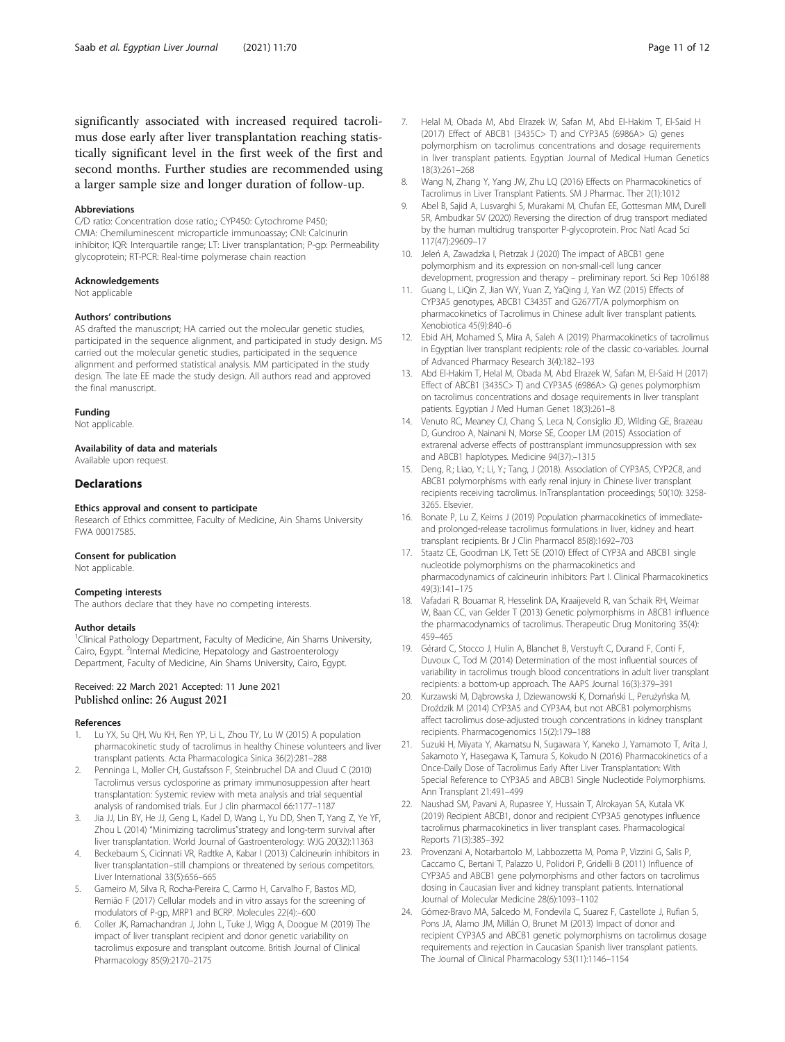<span id="page-10-0"></span>significantly associated with increased required tacrolimus dose early after liver transplantation reaching statistically significant level in the first week of the first and second months. Further studies are recommended using a larger sample size and longer duration of follow-up.

#### Abbreviations

C/D ratio: Concentration dose ratio,; CYP450: Cytochrome P450; CMIA: Chemiluminescent microparticle immunoassay; CNI: Calcinurin inhibitor; IQR: Interquartile range; LT: Liver transplantation; P-gp: Permeability glycoprotein; RT-PCR: Real-time polymerase chain reaction

#### Acknowledgements

Not applicable

## Authors' contributions

AS drafted the manuscript; HA carried out the molecular genetic studies, participated in the sequence alignment, and participated in study design. MS carried out the molecular genetic studies, participated in the sequence alignment and performed statistical analysis. MM participated in the study design. The late EE made the study design. All authors read and approved the final manuscript.

#### Funding

Not applicable.

#### Availability of data and materials

Available upon request.

# **Declarations**

#### Ethics approval and consent to participate

Research of Ethics committee, Faculty of Medicine, Ain Shams University FWA 00017585.

#### Consent for publication

Not applicable.

#### Competing interests

The authors declare that they have no competing interests.

#### Author details

<sup>1</sup>Clinical Pathology Department, Faculty of Medicine, Ain Shams University, Cairo, Egypt. <sup>2</sup>Internal Medicine, Hepatology and Gastroenterology Department, Faculty of Medicine, Ain Shams University, Cairo, Egypt.

#### Received: 22 March 2021 Accepted: 11 June 2021 Published online: 26 August 2021

#### References

- Lu YX, Su QH, Wu KH, Ren YP, Li L, Zhou TY, Lu W (2015) A population pharmacokinetic study of tacrolimus in healthy Chinese volunteers and liver transplant patients. Acta Pharmacologica Sinica 36(2):281–288
- 2. Penninga L, Moller CH, Gustafsson F, Steinbruchel DA and Cluud C (2010) Tacrolimus versus cyclosporine as primary immunosuppession after heart transplantation: Systemic review with meta analysis and trial sequential analysis of randomised trials. Eur J clin pharmacol 66:1177–1187
- 3. Jia JJ, Lin BY, He JJ, Geng L, Kadel D, Wang L, Yu DD, Shen T, Yang Z, Ye YF, Zhou L (2014) "Minimizing tacrolimus"strategy and long-term survival after liver transplantation. World Journal of Gastroenterology: WJG 20(32):11363
- Beckebaum S, Cicinnati VR, Radtke A, Kabar I (2013) Calcineurin inhibitors in liver transplantation–still champions or threatened by serious competitors. Liver International 33(5):656–665
- 5. Gameiro M, Silva R, Rocha-Pereira C, Carmo H, Carvalho F, Bastos MD, Remião F (2017) Cellular models and in vitro assays for the screening of modulators of P-gp, MRP1 and BCRP. Molecules 22(4):–600
- 6. Coller JK, Ramachandran J, John L, Tuke J, Wigg A, Doogue M (2019) The impact of liver transplant recipient and donor genetic variability on tacrolimus exposure and transplant outcome. British Journal of Clinical Pharmacology 85(9):2170–2175
- 7. Helal M, Obada M, Abd Elrazek W, Safan M, Abd El-Hakim T, El-Said H (2017) Effect of ABCB1 (3435C> T) and CYP3A5 (6986A> G) genes polymorphism on tacrolimus concentrations and dosage requirements in liver transplant patients. Egyptian Journal of Medical Human Genetics 18(3):261–268
- 8. Wang N, Zhang Y, Yang JW, Zhu LQ (2016) Effects on Pharmacokinetics of Tacrolimus in Liver Transplant Patients. SM J Pharmac. Ther 2(1):1012
- 9. Abel B, Sajid A, Lusvarghi S, Murakami M, Chufan EE, Gottesman MM, Durell SR, Ambudkar SV (2020) Reversing the direction of drug transport mediated by the human multidrug transporter P-glycoprotein. Proc Natl Acad Sci 117(47):29609–17
- 10. Jeleń A, Zawadzka I, Pietrzak J (2020) The impact of ABCB1 gene polymorphism and its expression on non-small-cell lung cancer development, progression and therapy – preliminary report. Sci Rep 10:6188
- 11. Guang L, LiQin Z, Jian WY, Yuan Z, YaQing J, Yan WZ (2015) Effects of CYP3A5 genotypes, ABCB1 C3435T and G2677T/A polymorphism on pharmacokinetics of Tacrolimus in Chinese adult liver transplant patients. Xenobiotica 45(9):840–6
- 12. Ebid AH, Mohamed S, Mira A, Saleh A (2019) Pharmacokinetics of tacrolimus in Egyptian liver transplant recipients: role of the classic co-variables. Journal of Advanced Pharmacy Research 3(4):182–193
- 13. Abd El-Hakim T, Helal M, Obada M, Abd Elrazek W, Safan M, El-Said H (2017) Effect of ABCB1 (3435C> T) and CYP3A5 (6986A> G) genes polymorphism on tacrolimus concentrations and dosage requirements in liver transplant patients. Egyptian J Med Human Genet 18(3):261–8
- 14. Venuto RC, Meaney CJ, Chang S, Leca N, Consiglio JD, Wilding GE, Brazeau D, Gundroo A, Nainani N, Morse SE, Cooper LM (2015) Association of extrarenal adverse effects of posttransplant immunosuppression with sex and ABCB1 haplotypes. Medicine 94(37):–1315
- 15. Deng, R.; Liao, Y.; Li, Y.; Tang, J (2018). Association of CYP3A5, CYP2C8, and ABCB1 polymorphisms with early renal injury in Chinese liver transplant recipients receiving tacrolimus. InTransplantation proceedings; 50(10): 3258- 3265. Elsevier.
- 16. Bonate P, Lu Z, Keirns J (2019) Population pharmacokinetics of immediateand prolonged‐release tacrolimus formulations in liver, kidney and heart transplant recipients. Br J Clin Pharmacol 85(8):1692–703
- 17. Staatz CE, Goodman LK, Tett SE (2010) Effect of CYP3A and ABCB1 single nucleotide polymorphisms on the pharmacokinetics and pharmacodynamics of calcineurin inhibitors: Part I. Clinical Pharmacokinetics 49(3):141–175
- 18. Vafadari R, Bouamar R, Hesselink DA, Kraaijeveld R, van Schaik RH, Weimar W, Baan CC, van Gelder T (2013) Genetic polymorphisms in ABCB1 influence the pharmacodynamics of tacrolimus. Therapeutic Drug Monitoring 35(4): 459–465
- 19. Gérard C, Stocco J, Hulin A, Blanchet B, Verstuyft C, Durand F, Conti F, Duvoux C, Tod M (2014) Determination of the most influential sources of variability in tacrolimus trough blood concentrations in adult liver transplant recipients: a bottom-up approach. The AAPS Journal 16(3):379–391
- 20. Kurzawski M, Dąbrowska J, Dziewanowski K, Domański L, Perużyńska M, Droździk M (2014) CYP3A5 and CYP3A4, but not ABCB1 polymorphisms affect tacrolimus dose-adjusted trough concentrations in kidney transplant recipients. Pharmacogenomics 15(2):179–188
- 21. Suzuki H, Miyata Y, Akamatsu N, Sugawara Y, Kaneko J, Yamamoto T, Arita J, Sakamoto Y, Hasegawa K, Tamura S, Kokudo N (2016) Pharmacokinetics of a Once-Daily Dose of Tacrolimus Early After Liver Transplantation: With Special Reference to CYP3A5 and ABCB1 Single Nucleotide Polymorphisms. Ann Transplant 21:491–499
- 22. Naushad SM, Pavani A, Rupasree Y, Hussain T, Alrokayan SA, Kutala VK (2019) Recipient ABCB1, donor and recipient CYP3A5 genotypes influence tacrolimus pharmacokinetics in liver transplant cases. Pharmacological Reports 71(3):385–392
- 23. Provenzani A, Notarbartolo M, Labbozzetta M, Poma P, Vizzini G, Salis P, Caccamo C, Bertani T, Palazzo U, Polidori P, Gridelli B (2011) Influence of CYP3A5 and ABCB1 gene polymorphisms and other factors on tacrolimus dosing in Caucasian liver and kidney transplant patients. International Journal of Molecular Medicine 28(6):1093–1102
- 24. Gómez-Bravo MA, Salcedo M, Fondevila C, Suarez F, Castellote J, Rufian S, Pons JA, Alamo JM, Millán O, Brunet M (2013) Impact of donor and recipient CYP3A5 and ABCB1 genetic polymorphisms on tacrolimus dosage requirements and rejection in Caucasian Spanish liver transplant patients. The Journal of Clinical Pharmacology 53(11):1146–1154